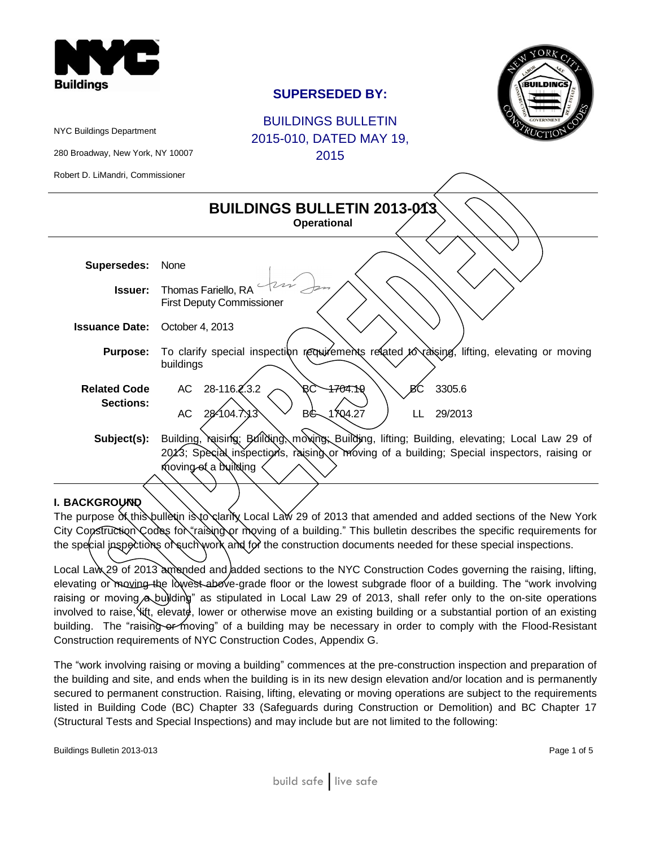

# **SUPERSEDED BY:**



BUILDINGS BULLETIN 2015-010, DATED MAY 19, 2015

280 Broadway, New York, NY 10007

NYC Buildings Department

Robert D. LiMandri, Commissioner

| <b>BUILDINGS BULLETIN 2013-013.</b><br><b>Operational</b> |                                                                                                                                                                                                                    |  |  |  |  |  |
|-----------------------------------------------------------|--------------------------------------------------------------------------------------------------------------------------------------------------------------------------------------------------------------------|--|--|--|--|--|
|                                                           |                                                                                                                                                                                                                    |  |  |  |  |  |
| <b>Supersedes:</b>                                        | None                                                                                                                                                                                                               |  |  |  |  |  |
| <b>Issuer:</b>                                            | Thomas Fariello, RA<br><b>First Deputy Commissioner</b>                                                                                                                                                            |  |  |  |  |  |
| <b>Issuance Date:</b>                                     | October 4, 2013                                                                                                                                                                                                    |  |  |  |  |  |
| <b>Purpose:</b>                                           | To clarify special inspection requirements related to raising,<br>lifting, elevating or moving<br>buildings                                                                                                        |  |  |  |  |  |
| <b>Related Code</b><br><b>Sections:</b>                   | AC 28-116.2.3.2<br>ÆÇ<br>4704.19<br>3305.6<br>BС<br>1704.27<br>28-104.7.13<br><b>AC</b><br>BG<br>29/2013<br>LL                                                                                                     |  |  |  |  |  |
| Subject(s):                                               | Building, raising; Building, moving, Building, lifting; Building, elevating; Local Law 29 of<br>2013; Special inspections, raising or moving of a building; Special inspectors, raising or<br>moving of a building |  |  |  |  |  |

### **I. BACKGROUND**

The purpose of this bulletin is to clarify Local Law 29 of 2013 that amended and added sections of the New York City Construction Codes for "raising or moving of a building." This bulletin describes the specific requirements for the special jnspections of such work and for the construction documents needed for these special inspections.

Local Law 29 of 2013 amended and added sections to the NYC Construction Codes governing the raising, lifting, elevating or moving the lowest above-grade floor or the lowest subgrade floor of a building. The "work involving raising or moving a building" as stipulated in Local Law 29 of 2013, shall refer only to the on-site operations involved to raise,  $\frac{1}{x}$ , elevate, lower or otherwise move an existing building or a substantial portion of an existing building. The "raising or moving" of a building may be necessary in order to comply with the Flood-Resistant Construction requirements of NYC Construction Codes, Appendix G.

The "work involving raising or moving a building" commences at the pre-construction inspection and preparation of the building and site, and ends when the building is in its new design elevation and/or location and is permanently secured to permanent construction. Raising, lifting, elevating or moving operations are subject to the requirements listed in Building Code (BC) Chapter 33 (Safeguards during Construction or Demolition) and BC Chapter 17 (Structural Tests and Special Inspections) and may include but are not limited to the following: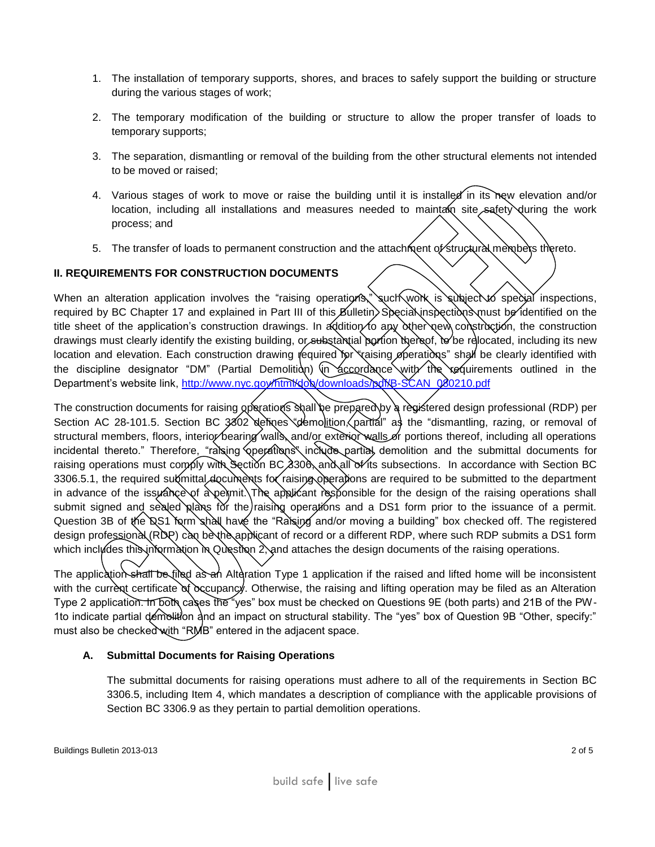- 1. The installation of temporary supports, shores, and braces to safely support the building or structure during the various stages of work;
- 2. The temporary modification of the building or structure to allow the proper transfer of loads to temporary supports;
- 3. The separation, dismantling or removal of the building from the other structural elements not intended to be moved or raised;
- 4. Various stages of work to move or raise the building until it is installed in its new elevation and/or location, including all installations and measures needed to maintam site safety during the work process; and
- 5. The transfer of loads to permanent construction and the attachment of structural members thereto.

## **II. REQUIREMENTS FOR CONSTRUCTION DOCUMENTS**

When an alteration application involves the "raising operations," such work is subject to special inspections, required by BC Chapter 17 and explained in Part III of this Bulletin. Special inspections must be identified on the title sheet of the application's construction drawings. In addition to any other new construction, the construction drawings must clearly identify the existing building, or substantial portion thereof, to be relocated, including its new location and elevation. Each construction drawing required for "raising operations" shall be clearly identified with the discipline designator "DM" (Partial Demolition) (in accordance with the requirements outlined in the Department's website link, [http://www.nyc.gov/html/dob/downloads/pdf/B-SCAN\\_080210.pdf](http://www.nyc.gov/html/dob/downloads/pdf/B-SCAN_080210.pdf)

The construction documents for raising operations shall be prepared by a registered design professional (RDP) per Section AC 28-101.5. Section BC 3802 defines "demolition, partial" as the "dismantling, razing, or removal of structural members, floors, interior bearing walls, and/or exterior walls or portions thereof, including all operations incidental thereto." Therefore, "raising operations" include partial demolition and the submittal documents for raising operations must comply with Section BC 3306, and all of its subsections. In accordance with Section BC 3306.5.1, the required submittal documents for raising operations are required to be submitted to the department in advance of the issuance of a permit. The applicant responsible for the design of the raising operations shall submit signed and sealed plans for the raising operations and a DS1 form prior to the issuance of a permit. Question 3B of the DS1 form shall have the "Raising and/or moving a building" box checked off. The registered design professional (RDP) can be the applicant of record or a different RDP, where such RDP submits a DS1 form which includes this information in Question 2, and attaches the design documents of the raising operations.

The application shall be filed as an Alteration Type 1 application if the raised and lifted home will be inconsistent with the current certificate of  $\alpha$ cupancy. Otherwise, the raising and lifting operation may be filed as an Alteration Type 2 application. In both cases the "yes" box must be checked on Questions 9E (both parts) and 21B of the PW-1to indicate partial demolition and an impact on structural stability. The "yes" box of Question 9B "Other, specify:" must also be checked with "RMB" entered in the adjacent space.

### **A. Submittal Documents for Raising Operations**

The submittal documents for raising operations must adhere to all of the requirements in Section BC 3306.5, including Item 4, which mandates a description of compliance with the applicable provisions of Section BC 3306.9 as they pertain to partial demolition operations.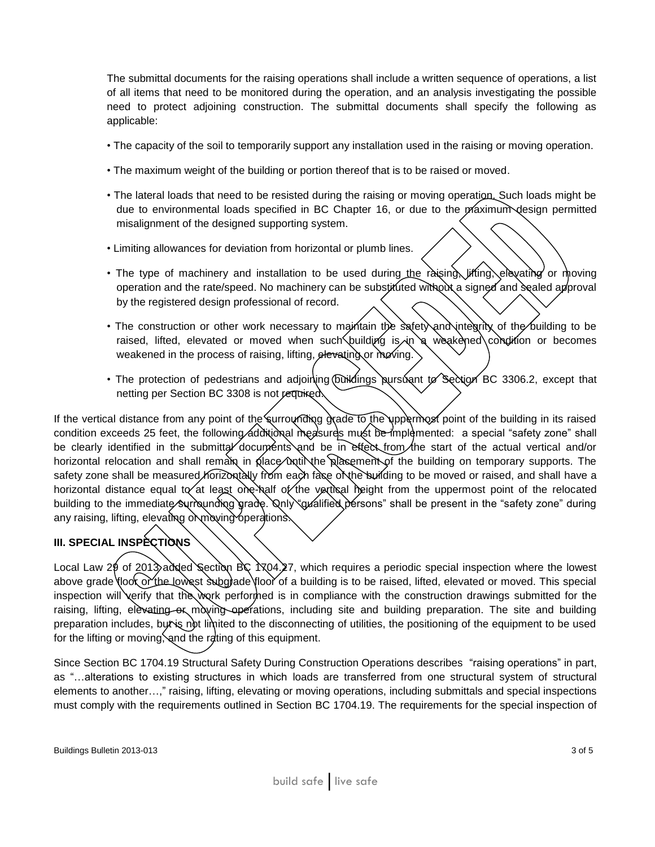The submittal documents for the raising operations shall include a written sequence of operations, a list of all items that need to be monitored during the operation, and an analysis investigating the possible need to protect adjoining construction. The submittal documents shall specify the following as applicable:

- The capacity of the soil to temporarily support any installation used in the raising or moving operation.
- The maximum weight of the building or portion thereof that is to be raised or moved.
- The lateral loads that need to be resisted during the raising or moving operation. Such loads might be due to environmental loads specified in BC Chapter 16, or due to the maximum design permitted misalignment of the designed supporting system.
- Limiting allowances for deviation from horizontal or plumb lines.
- The type of machinery and installation to be used during the raising, lifting, elevating or moving operation and the rate/speed. No machinery can be substituted without a signed and sealed approval by the registered design professional of record.
- The construction or other work necessary to maintain the safety and integrity of the building to be raised, lifted, elevated or moved when such building is  $\sin$  a weakened condition or becomes weakened in the process of raising, lifting, elevating or moving.
- The protection of pedestrians and adjoin ing buildings pursuant to Section BC 3306.2, except that netting per Section BC 3308 is not required.

If the vertical distance from any point of the surrounding grade to the uppermost point of the building in its raised condition exceeds 25 feet, the following additional measures must be implemented: a special "safety zone" shall be clearly identified in the submittal documents and be in effect from the start of the actual vertical and/or horizontal relocation and shall remain in place until the placement of the building on temporary supports. The safety zone shall be measured horizontally from each face of the building to be moved or raised, and shall have a horizontal distance equal to at least one-half of the vertical height from the uppermost point of the relocated building to the immediate surrounding grade. Only "qualified persons" shall be present in the "safety zone" during any raising, lifting, elevating or moving operations.

## **III. SPECIAL INSPECTIONS**

Local Law 29 of 2013 added Section BC 1704.27, which requires a periodic special inspection where the lowest above grade floor or the lowest subgrade floor of a building is to be raised, lifted, elevated or moved. This special inspection will verify that the work performed is in compliance with the construction drawings submitted for the raising, lifting, elevating or moving operations, including site and building preparation. The site and building preparation includes, but is not limited to the disconnecting of utilities, the positioning of the equipment to be used for the lifting or moving, and the rating of this equipment.

Since Section BC 1704.19 Structural Safety During Construction Operations describes "raising operations" in part, as "…alterations to existing structures in which loads are transferred from one structural system of structural elements to another…," raising, lifting, elevating or moving operations, including submittals and special inspections must comply with the requirements outlined in Section BC 1704.19. The requirements for the special inspection of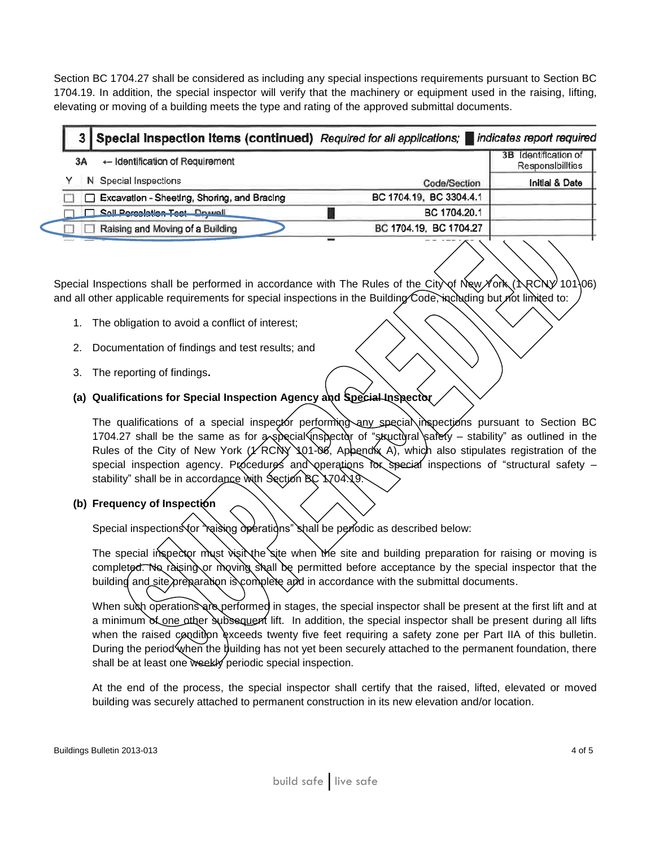Section BC 1704.27 shall be considered as including any special inspections requirements pursuant to Section BC 1704.19. In addition, the special inspector will verify that the machinery or equipment used in the raising, lifting, elevating or moving of a building meets the type and rating of the approved submittal documents.

|  |    | 3 Special Inspection Items (continued) Required for all applications; indicates report required |                         |                                          |
|--|----|-------------------------------------------------------------------------------------------------|-------------------------|------------------------------------------|
|  | 3A | $\leftarrow$ Identification of Requirement                                                      |                         | 3B Identification of<br>Responsibilities |
|  |    | N Special Inspections                                                                           | Code/Section            | Initial & Date                           |
|  |    | Excavation - Sheeting, Shoring, and Bracing                                                     | BC 1704.19, BC 3304.4.1 |                                          |
|  |    | Soll Percolation Test - Druwell                                                                 | BC 1704.20.1            |                                          |
|  |    | Raising and Moving of a Building                                                                | BC 1704.19, BC 1704.27  |                                          |
|  |    |                                                                                                 |                         | $\sim$ $\sim$                            |

Special Inspections shall be performed in accordance with The Rules of the City of New York (NRCNY 101\06) and all other applicable requirements for special inspections in the Building Code, including but not limited to:

- 1. The obligation to avoid a conflict of interest;
- 2. Documentation of findings and test results; and
- 3. The reporting of findings**.**
- **(a) Qualifications for Special Inspection Agency and Special Inspector**

The qualifications of a special inspector performing any special inspections pursuant to Section BC 1704.27 shall be the same as for  $\infty$  special inspector of "structural safety – stability" as outlined in the Rules of the City of New York ( $\angle$ RCNY 101-06, Appendix A), which also stipulates registration of the special inspection agency. Procedures and operations for special inspections of "structural safety – stability" shall be in accordance with Section BC 1704.19.

**(b) Frequency of Inspection**

Special inspections for "raising operations" shall be periodic as described below:

The special inspector must visit the site when the site and building preparation for raising or moving is completed. No raising or moving shall be permitted before acceptance by the special inspector that the building and site preparation is complete and in accordance with the submittal documents.

When such operations are performed in stages, the special inspector shall be present at the first lift and at a minimum of one other subsequent lift. In addition, the special inspector shall be present during all lifts when the raised condition exceeds twenty five feet requiring a safety zone per Part IIA of this bulletin. During the period when the building has not yet been securely attached to the permanent foundation, there shall be at least one weekly periodic special inspection.

At the end of the process, the special inspector shall certify that the raised, lifted, elevated or moved building was securely attached to permanent construction in its new elevation and/or location.